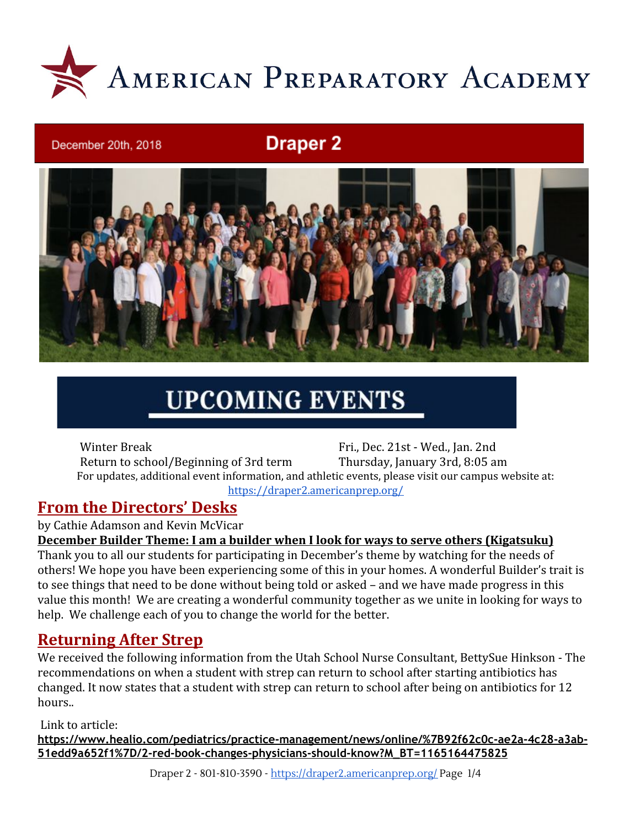

## **Draper 2**



# **UPCOMING EVENTS**

Winter Break Fri., Dec. 21st - Wed., Jan. 2nd Return to school/Beginning of 3rd term Thursday, January 3rd, 8:05 am For updates, additional event information, and athletic events, please visit our campus website at: <https://draper2.americanprep.org/>

### **From the Directors' Desks**

December 20th, 2018

by Cathie Adamson and Kevin McVicar

**December Builder Theme: I am a builder when I look for ways to serve others (Kigatsuku)**

Thank you to all our students for participating in December's theme by watching for the needs of others! We hope you have been experiencing some of this in your homes. A wonderful Builder's trait is to see things that need to be done without being told or asked – and we have made progress in this value this month! We are creating a wonderful community together as we unite in looking for ways to help. We challenge each of you to change the world for the better.

### **Returning After Strep**

We received the following information from the Utah School Nurse Consultant, BettySue Hinkson - The recommendations on when a student with strep can return to school after starting antibiotics has changed. It now states that a student with strep can return to school after being on antibiotics for 12 hours..

Link to article:

**[https://www.healio.com/pediatrics/practice-management/news/online/%7B92f62c0c-ae2a-4c28-a3ab-](https://www.healio.com/pediatrics/practice-management/news/online/%7B92f62c0c-ae2a-4c28-a3ab-51edd9a652f1%7D/2-red-book-changes-physicians-should-know?M_BT=1165164475825)[51edd9a652f1%7D/2-red-book-changes-physicians-should-know?M\\_BT=1165164475825](https://www.healio.com/pediatrics/practice-management/news/online/%7B92f62c0c-ae2a-4c28-a3ab-51edd9a652f1%7D/2-red-book-changes-physicians-should-know?M_BT=1165164475825)**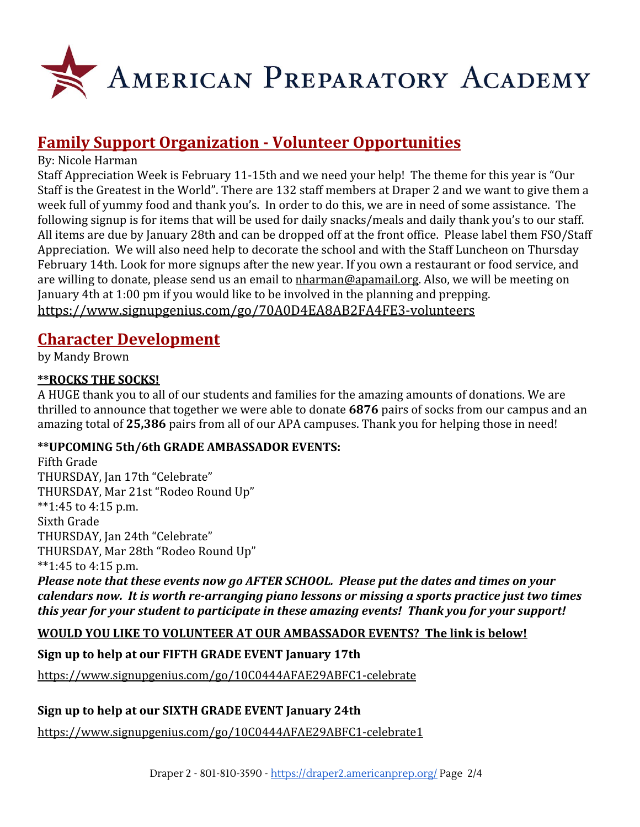

### **Family Support Organization - Volunteer Opportunities**

#### By: Nicole Harman

Staff Appreciation Week is February 11-15th and we need your help! The theme for this year is "Our Staff is the Greatest in the World". There are 132 staff members at Draper 2 and we want to give them a week full of yummy food and thank you's. In order to do this, we are in need of some assistance. The following signup is for items that will be used for daily snacks/meals and daily thank you's to our staff. All items are due by January 28th and can be dropped off at the front office. Please label them FSO/Staff Appreciation. We will also need help to decorate the school and with the Staff Luncheon on Thursday February 14th. Look for more signups after the new year. If you own a restaurant or food service, and are willing to donate, please send us an email to [nharman@apamail.org](mailto:nharman@apamail.org). Also, we will be meeting on January 4th at 1:00 pm if you would like to be involved in the planning and prepping. <https://www.signupgenius.com/go/70A0D4EA8AB2FA4FE3-volunteers>

### **Character Development**

by Mandy Brown

#### **\*\*ROCKS THE SOCKS!**

A HUGE thank you to all of our students and families for the amazing amounts of donations. We are thrilled to announce that together we were able to donate **6876** pairs of socks from our campus and an amazing total of **25,386** pairs from all of our APA campuses. Thank you for helping those in need!

#### **\*\*UPCOMING 5th/6th GRADE AMBASSADOR EVENTS:**

Fifth Grade THURSDAY, Jan 17th "Celebrate" THURSDAY, Mar 21st "Rodeo Round Up" \*\*1:45 to 4:15 p.m. Sixth Grade THURSDAY, Jan 24th "Celebrate" THURSDAY, Mar 28th "Rodeo Round Up" \*\*1:45 to 4:15 p.m.

*Please note that these events now go AFTER SCHOOL. Please put the dates and times on your calendars now. It is worth re-arranging piano lessons or missing a sports practice just two times this year for your student to participate in these amazing events! Thank you for your support!*

#### **WOULD YOU LIKE TO VOLUNTEER AT OUR AMBASSADOR EVENTS? The link is below!**

#### **Sign up to help at our FIFTH GRADE EVENT January 17th**

<https://www.signupgenius.com/go/10C0444AFAE29ABFC1-celebrate>

#### **Sign up to help at our SIXTH GRADE EVENT January 24th**

<https://www.signupgenius.com/go/10C0444AFAE29ABFC1-celebrate1>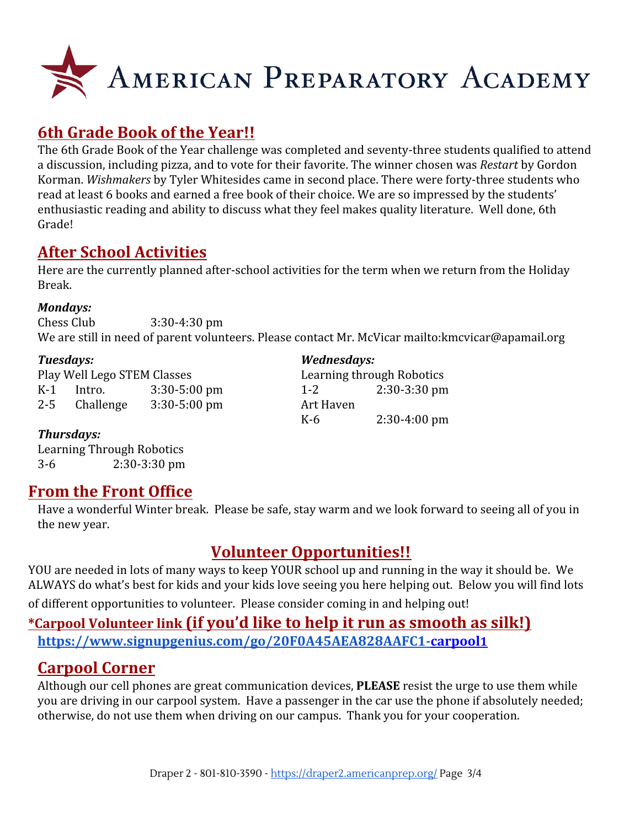

### **6th Grade Book of the Year!!**

The 6th Grade Book of the Year challenge was completed and seventy-three students qualified to attend a discussion, including pizza, and to vote for their favorite. The winner chosen was *Restart* by Gordon Korman. *Wishmakers* by Tyler Whitesides came in second place. There were forty-three students who read at least 6 books and earned a free book of their choice. We are so impressed by the students' enthusiastic reading and ability to discuss what they feel makes quality literature. Well done, 6th Grade!

### **After School Activities**

Here are the currently planned after-school activities for the term when we return from the Holiday Break.

#### *Mondays:*

Chess Club 3:30-4:30 pm We are still in need of parent volunteers. Please contact Mr. McVicar <mailto:kmcvicar@apamail.org>

| Tuesdays:<br>Play Well Lego STEM Classes |           |                  | Wednesdays:<br>Learning through Robotics |                |
|------------------------------------------|-----------|------------------|------------------------------------------|----------------|
|                                          |           |                  |                                          |                |
| $2 - 5$                                  | Challenge | $3:30 - 5:00$ pm | Art Haven                                |                |
|                                          |           |                  | K-6                                      | $2:30-4:00$ pm |

#### *Thursdays:*

Learning Through Robotics 3-6 2:30-3:30 pm

### **From the Front Office**

Have a wonderful Winter break. Please be safe, stay warm and we look forward to seeing all of you in the new year.

### **Volunteer Opportunities!!**

YOU are needed in lots of many ways to keep YOUR school up and running in the way it should be. We ALWAYS do what's best for kids and your kids love seeing you here helping out. Below you will find lots of different opportunities to volunteer. Please consider coming in and helping out!

### **\*Carpool Volunteer link (if you'd like to help it run as smooth as silk!)**

**[https://www.signupgenius.com/go/20F0A45AEA828AAFC1-carpool](https://www.signupgenius.com/go/20F0A45AEA828AAFC1-carpool1)1**

### **Carpool Corner**

Although our cell phones are great communication devices, **PLEASE** resist the urge to use them while you are driving in our carpool system. Have a passenger in the car use the phone if absolutely needed; otherwise, do not use them when driving on our campus. Thank you for your cooperation.